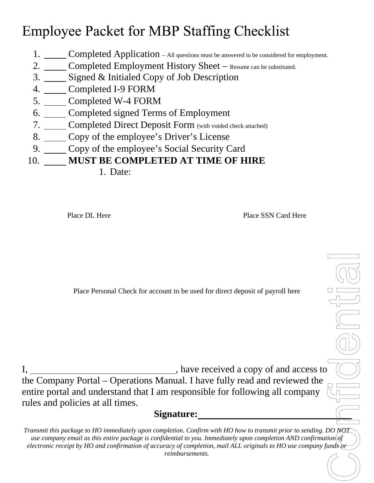# **Employee Packet for MBP Staffing Checklist**

- 1. Completed Application All questions must be answered to be considered for employment.
- 2. Completed Employment History Sheet Resume can be substituted.
- 3. Signed & Initialed Copy of Job Description
- 4. Completed I-9 FORM
- 5. Completed W-4 FORM
- 6. Completed signed Terms of Employment
- 7. Completed Direct Deposit Form (with voided check attached)
- 8. Copy of the employee's Driver's License
- 9. Copy of the employee's Social Security Card

10. **MUST BE COMPLETED AT TIME OF HIRE**

1. Date:

Place DL Here **Place SSN** Card Here **Place SSN** Card Here

Place Personal Check for account to be used for direct deposit of payroll here

I, have received a copy of and access to the Company Portal – Operations Manual. I have fully read and reviewed the entire portal and understand that I am responsible for following all company rules and policies at all times.

**Signature:**

Confidential *Transmit this package to HO immediately upon completion. Confirm with HO how to transmit prior to sending. DO NOT use company email as this entire package is confidential to you. Immediately upon completion AND confirmation of electronic receipt by HO and confirmation of accuracy of completion, mail ALL originals to HO use company funds or reimbursements.*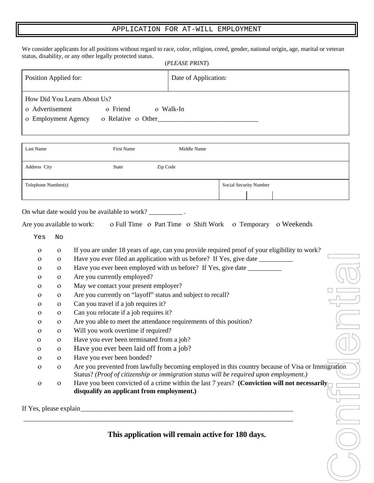#### APPLICATION FOR AT-WILL EMPLOYMENT

We consider applicants for all positions without regard to race, color, religion, creed, gender, national origin, age, marital or veteran status, disability, or any other legally protected status. (*PLEASE PRINT*)

|                             |                    | (PLEASE PRINT)       |
|-----------------------------|--------------------|----------------------|
| Position Applied for:       |                    | Date of Application: |
| How Did You Learn About Us? |                    |                      |
| o Advertisement             | o Friend           | o Walk-In            |
| o Employment Agency         | o Relative o Other |                      |
|                             |                    |                      |

| Last Name           | First Name | Middle Name |                        |
|---------------------|------------|-------------|------------------------|
| Address City        | State      | Zip Code    |                        |
| Telephone Number(s) |            |             | Social Security Number |

On what date would you be available to work? \_\_\_\_\_\_\_\_\_\_\_\_\_\_.

| Are you available to work: |  |  |  | o Full Time o Part Time o Shift Work o Temporary o Weekends |  |
|----------------------------|--|--|--|-------------------------------------------------------------|--|
|----------------------------|--|--|--|-------------------------------------------------------------|--|

Yes No

|  |  |  | If you are under 18 years of age, can you provide required proof of your eligibility to work? |
|--|--|--|-----------------------------------------------------------------------------------------------|
|  |  |  |                                                                                               |

|  |  | Have you ever filed an application with us before? If Yes, give date _ |  |  |  |  |
|--|--|------------------------------------------------------------------------|--|--|--|--|
|--|--|------------------------------------------------------------------------|--|--|--|--|

|              | $\Omega$ | Have you ever been employed with us before? If Yes, give date |  |
|--------------|----------|---------------------------------------------------------------|--|
| $\mathbf{O}$ |          | o Are you currently employed?                                 |  |
|              | $\Omega$ | May we contact your present employer?                         |  |

- Are you currently on "layoff" status and subject to recall?
- Can you travel if a job requires it?
- Can you relocate if a job requires it?
- Are you able to meet the attendance requirements of this position?

\_\_\_\_\_\_\_\_\_\_\_\_\_\_\_\_\_\_\_\_\_\_\_\_\_\_\_\_\_\_\_\_\_\_\_\_\_\_\_\_\_\_\_\_\_\_\_\_\_\_\_\_\_\_\_\_\_\_\_\_\_\_\_\_\_\_\_\_\_\_\_\_\_\_\_\_\_\_\_\_

- Will you work overtime if required?
- Have you ever been terminated from a job?
- Have you ever been laid off from a job?
- Have you ever been bonded?
- Confidential Are you prevented from lawfully becoming employed in this country because of Visa or Immigration Status? *(Proof of citizenship or immigration status will be required upon employment.)*
- o been convicted of a crime within the last 7 years? **(Conviction will not necessarily disqualify an applicant from employment.)**

If Yes, please explain\_\_\_\_\_\_\_\_\_\_\_\_\_\_\_\_\_\_\_\_\_\_\_\_\_\_\_\_\_\_\_\_\_\_\_\_\_\_\_\_\_\_\_\_\_\_\_\_\_\_\_\_\_\_\_\_\_\_\_\_\_\_\_

**This application will remain active for 180 days.**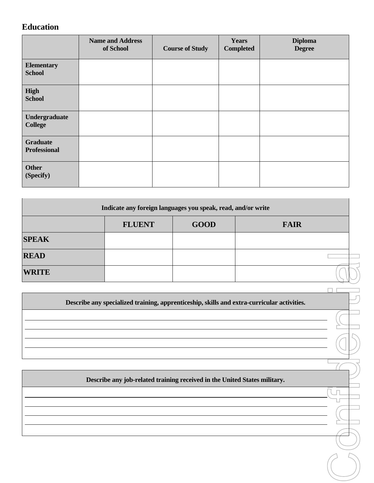# **Education**

|                                        | <b>Name and Address</b><br>of School | <b>Course of Study</b> | <b>Years</b><br><b>Completed</b> | <b>Diploma</b><br><b>Degree</b> |
|----------------------------------------|--------------------------------------|------------------------|----------------------------------|---------------------------------|
| <b>Elementary</b><br><b>School</b>     |                                      |                        |                                  |                                 |
| High<br><b>School</b>                  |                                      |                        |                                  |                                 |
| <b>Undergraduate</b><br><b>College</b> |                                      |                        |                                  |                                 |
| <b>Graduate</b><br><b>Professional</b> |                                      |                        |                                  |                                 |
| <b>Other</b><br>(Specify)              |                                      |                        |                                  |                                 |

|              | Indicate any foreign languages you speak, read, and/or write                               |             |             |  |
|--------------|--------------------------------------------------------------------------------------------|-------------|-------------|--|
|              | <b>FLUENT</b>                                                                              | <b>GOOD</b> | <b>FAIR</b> |  |
| <b>SPEAK</b> |                                                                                            |             |             |  |
| <b>READ</b>  |                                                                                            |             |             |  |
| <b>WRITE</b> |                                                                                            |             |             |  |
|              |                                                                                            |             |             |  |
|              | Describe any specialized training, apprenticeship, skills and extra-curricular activities. |             |             |  |
|              |                                                                                            |             |             |  |
|              |                                                                                            |             |             |  |
|              |                                                                                            |             |             |  |
|              |                                                                                            |             |             |  |
|              | Describe any job-related training received in the United States military.                  |             |             |  |
|              |                                                                                            |             |             |  |
|              |                                                                                            |             |             |  |
|              |                                                                                            |             |             |  |
|              |                                                                                            |             |             |  |
|              |                                                                                            |             |             |  |
|              |                                                                                            |             |             |  |
|              |                                                                                            |             |             |  |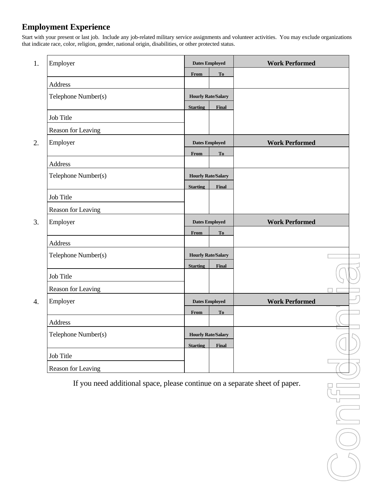# **Employment Experience**

Start with your present or last job. Include any job-related military service assignments and volunteer activities. You may exclude organizations that indicate race, color, religion, gender, national origin, disabilities, or other protected status.

|    | Employer            |                 | <b>Dates Employed</b>     | <b>Work Performed</b> |  |
|----|---------------------|-----------------|---------------------------|-----------------------|--|
|    |                     | From            | <b>To</b>                 |                       |  |
|    | Address             |                 |                           |                       |  |
|    | Telephone Number(s) |                 | <b>Hourly Rate/Salary</b> |                       |  |
|    | Job Title           | <b>Starting</b> | Final                     |                       |  |
|    |                     |                 |                           |                       |  |
| 2. | Reason for Leaving  |                 |                           |                       |  |
|    | Employer            |                 | <b>Dates Employed</b>     | <b>Work Performed</b> |  |
|    |                     | From            | T <sub>o</sub>            |                       |  |
|    | Address             |                 |                           |                       |  |
|    | Telephone Number(s) |                 | <b>Hourly Rate/Salary</b> |                       |  |
|    |                     | <b>Starting</b> | <b>Final</b>              |                       |  |
|    | Job Title           |                 |                           |                       |  |
|    | Reason for Leaving  |                 |                           |                       |  |
| 3. | Employer            |                 | <b>Dates Employed</b>     | <b>Work Performed</b> |  |
|    |                     | <b>From</b>     | T <sub>o</sub>            |                       |  |
|    | Address             |                 |                           |                       |  |
|    | Telephone Number(s) |                 | <b>Hourly Rate/Salary</b> |                       |  |
|    |                     | <b>Starting</b> | <b>Final</b>              |                       |  |
|    | Job Title           |                 |                           |                       |  |
|    | Reason for Leaving  |                 |                           |                       |  |
|    | Employer            |                 | <b>Dates Employed</b>     | <b>Work Performed</b> |  |
|    |                     | From            | T <sub>o</sub>            |                       |  |
|    | Address             |                 |                           |                       |  |
|    | Telephone Number(s) |                 | <b>Hourly Rate/Salary</b> |                       |  |
|    |                     | <b>Starting</b> | <b>Final</b>              |                       |  |
|    |                     |                 |                           |                       |  |
|    | Job Title           |                 |                           |                       |  |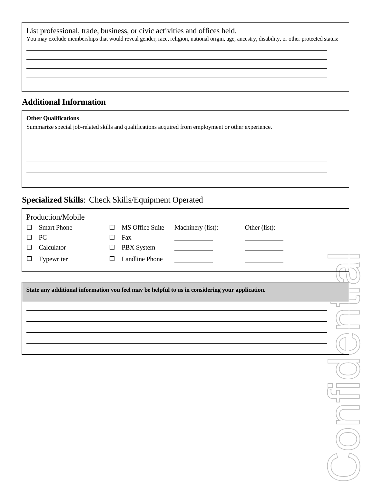| List professional, trade, business, or civic activities and offices held.<br>You may exclude memberships that would reveal gender, race, religion, national origin, age, ancestry, disability, or other protected status: |
|---------------------------------------------------------------------------------------------------------------------------------------------------------------------------------------------------------------------------|
|                                                                                                                                                                                                                           |
|                                                                                                                                                                                                                           |
| <b>Additional Information</b>                                                                                                                                                                                             |
| <b>Other Qualifications</b>                                                                                                                                                                                               |

Summarize special job-related skills and qualifications acquired from employment or other experience.

# **Specialized Skills**: Check Skills/Equipment Operated

|        | Production/Mobile  |        |                 |                                                                                                 |               |  |
|--------|--------------------|--------|-----------------|-------------------------------------------------------------------------------------------------|---------------|--|
| $\Box$ | <b>Smart Phone</b> | $\Box$ | MS Office Suite | Machinery (list):                                                                               | Other (list): |  |
| $\Box$ | ${\rm P}{\bf C}$   | $\Box$ | Fax             |                                                                                                 |               |  |
| □      | Calculator         | $\Box$ | PBX System      |                                                                                                 |               |  |
| ◻      | Typewriter         | $\Box$ | Landline Phone  |                                                                                                 |               |  |
|        |                    |        |                 |                                                                                                 |               |  |
|        |                    |        |                 |                                                                                                 |               |  |
|        |                    |        |                 | State any additional information you feel may be helpful to us in considering your application. |               |  |
|        |                    |        |                 |                                                                                                 |               |  |
|        |                    |        |                 |                                                                                                 |               |  |
|        |                    |        |                 |                                                                                                 |               |  |
|        |                    |        |                 |                                                                                                 |               |  |
|        |                    |        |                 |                                                                                                 |               |  |
|        |                    |        |                 |                                                                                                 |               |  |
|        |                    |        |                 |                                                                                                 |               |  |
|        |                    |        |                 |                                                                                                 |               |  |
|        |                    |        |                 |                                                                                                 |               |  |
|        |                    |        |                 |                                                                                                 |               |  |
|        |                    |        |                 |                                                                                                 |               |  |
|        |                    |        |                 |                                                                                                 |               |  |
|        |                    |        |                 |                                                                                                 |               |  |
|        |                    |        |                 |                                                                                                 |               |  |
|        |                    |        |                 |                                                                                                 |               |  |
|        |                    |        |                 |                                                                                                 |               |  |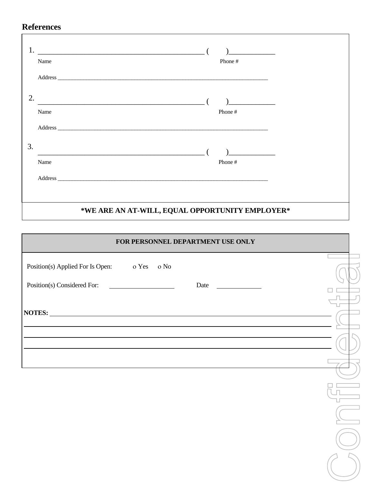# **References**

|    |      | <u> 1989 - Johann John Stone, mars eta bainar eta baina eta baina eta baina eta baina eta baina eta baina eta ba</u> |  |
|----|------|----------------------------------------------------------------------------------------------------------------------|--|
|    | Name | Phone#                                                                                                               |  |
|    |      |                                                                                                                      |  |
| 2. |      | <u> 1989 - Johann John Stein, meil am der Schwarzer (d. 1989)</u>                                                    |  |
|    | Name | Phone #                                                                                                              |  |
|    |      |                                                                                                                      |  |
| 3. |      | <u> 1989 - Jan Barnett, f</u>                                                                                        |  |
|    | Name | Phone #                                                                                                              |  |
|    |      |                                                                                                                      |  |
|    |      |                                                                                                                      |  |
|    |      | *WE ARE AN AT-WILL, EQUAL OPPORTUNITY EMPLOYER*                                                                      |  |

| FOR PERSONNEL DEPARTMENT USE ONLY                                                                                                                                                                                             |  |  |  |  |
|-------------------------------------------------------------------------------------------------------------------------------------------------------------------------------------------------------------------------------|--|--|--|--|
| Position(s) Applied For Is Open: 0 Yes 0 No                                                                                                                                                                                   |  |  |  |  |
| Position(s) Considered For:                                                                                                                                                                                                   |  |  |  |  |
|                                                                                                                                                                                                                               |  |  |  |  |
| the control of the control of the control of the control of the control of the control of the control of the control of the control of the control of the control of the control of the control of the control of the control |  |  |  |  |
|                                                                                                                                                                                                                               |  |  |  |  |
|                                                                                                                                                                                                                               |  |  |  |  |
|                                                                                                                                                                                                                               |  |  |  |  |
|                                                                                                                                                                                                                               |  |  |  |  |
|                                                                                                                                                                                                                               |  |  |  |  |
|                                                                                                                                                                                                                               |  |  |  |  |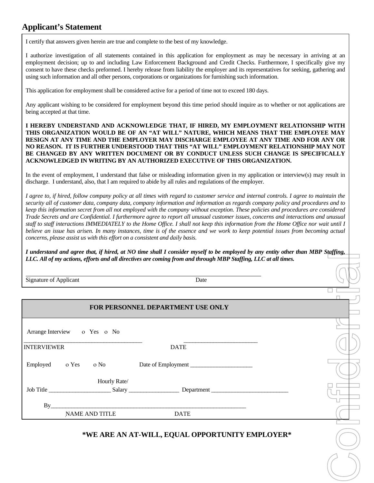# **Applicant's Statement**

I certify that answers given herein are true and complete to the best of my knowledge.

I authorize investigation of all statements contained in this application for employment as may be necessary in arriving at an employment decision; up to and including Law Enforcement Background and Credit Checks. Furthermore, I specifically give my consent to have these checks preformed. I hereby release from liability the employer and its representatives for seeking, gathering and using such information and all other persons, corporations or organizations for furnishing such information.

This application for employment shall be considered active for a period of time not to exceed 180 days.

Any applicant wishing to be considered for employment beyond this time period should inquire as to whether or not applications are being accepted at that time.

**I HEREBY UNDERSTAND AND ACKNOWLEDGE THAT, IF HIRED, MY EMPLOYMENT RELATIONSHIP WITH THIS ORGANIZATION WOULD BE OF AN "AT WILL" NATURE, WHICH MEANS THAT THE EMPLOYEE MAY RESIGN AT ANY TIME AND THE EMPLOYER MAY DISCHARGE EMPLOYEE AT ANY TIME AND FOR ANY OR NO REASON. IT IS FURTHER UNDERSTOOD THAT THIS "AT WILL" EMPLOYMENT RELATIONSHIP MAY NOT BE CHANGED BY ANY WRITTEN DOCUMENT OR BY CONDUCT UNLESS SUCH CHANGE IS SPECIFICALLY ACKNOWLEDGED IN WRITING BY AN AUTHORIZED EXECUTIVE OF THIS ORGANIZATION.**

In the event of employment, I understand that false or misleading information given in my application or interview(s) may result in discharge. I understand, also, that I am required to abide by all rules and regulations of the employer.

*I agree to, if hired, follow company policy at all times with regard to customer service and internal controls. I agree to maintain the security all of customer data, company data, company information and information as regards company policy and procedures and to keep this information secret from all not employed with the company without exception. These policies and procedures are considered Trade Secrets and are Confidential. I furthermore agree to report all unusual customer issues, concerns and interactions and unusual staff to staff interactions IMMEDIATELY to the Home Office. I shall not keep this information from the Home Office nor wait until I believe an issue has arisen. In many instances, time is of the essence and we work to keep potential issues from becoming actual concerns, please assist us with this effort on a consistent and daily basis.*

*I understand and agree that, if hired, at NO time shall I consider myself to be employed by any entity other than MBP Staffing, LLC. All of my actions, efforts and all directives are coming from and through MBP Staffing, LLC at all times.*

#### **FOR PERSONNEL DEPARTMENT USE ONLY**

| LLC. All of my actions, efforts and all directives are coming from and through MBP Staffing, LLC at all times. |              |                                                 |  |
|----------------------------------------------------------------------------------------------------------------|--------------|-------------------------------------------------|--|
| Signature of Applicant                                                                                         |              | Date                                            |  |
|                                                                                                                |              |                                                 |  |
|                                                                                                                |              | FOR PERSONNEL DEPARTMENT USE ONLY               |  |
| Arrange Interview o Yes o No                                                                                   |              |                                                 |  |
| <b>INTERVIEWER</b>                                                                                             |              | <b>DATE</b>                                     |  |
| Employed o Yes                                                                                                 | $\alpha$ No  | Date of Employment                              |  |
|                                                                                                                | Hourly Rate/ |                                                 |  |
|                                                                                                                |              |                                                 |  |
|                                                                                                                |              | By                                              |  |
| NAME AND TITLE                                                                                                 |              | <b>DATE</b>                                     |  |
|                                                                                                                |              | *WE ARE AN AT-WILL, EQUAL OPPORTUNITY EMPLOYER* |  |
|                                                                                                                |              |                                                 |  |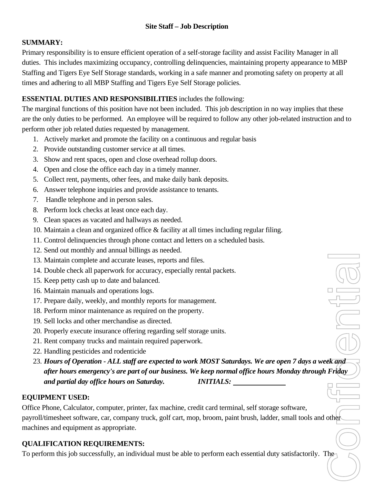## **SUMMARY:**

Primary responsibility is to ensure efficient operation of a self-storage facility and assist Facility Manager in all duties. This includes maximizing occupancy, controlling delinquencies, maintaining property appearance to MBP Staffing and Tigers Eye Self Storage standards, working in a safe manner and promoting safety on property at all times and adhering to all MBP Staffing and Tigers Eye Self Storage policies.

## **ESSENTIAL DUTIES AND RESPONSIBILITIES** includes the following:

The marginal functions of this position have not been included. This job description in no way implies that these are the only duties to be performed. An employee will be required to follow any other job-related instruction and to perform other job related duties requested by management.

- 1. Actively market and promote the facility on a continuous and regular basis
- 2. Provide outstanding customer service at all times.
- 3. Show and rent spaces, open and close overhead rollup doors.
- 4. Open and close the office each day in a timely manner.
- 5. Collect rent, payments, other fees, and make daily bank deposits.
- 6. Answer telephone inquiries and provide assistance to tenants.
- 7. Handle telephone and in person sales.
- 8. Perform lock checks at least once each day.
- 9. Clean spaces as vacated and hallways as needed.
- 10. Maintain a clean and organized office & facility at all times including regular filing.
- 11. Control delinquencies through phone contact and letters on a scheduled basis.
- 12. Send out monthly and annual billings as needed.
- 13. Maintain complete and accurate leases, reports and files.
- 14. Double check all paperwork for accuracy, especially rental packets.
- 15. Keep petty cash up to date and balanced.
- 16. Maintain manuals and operations logs.
- 17. Prepare daily, weekly, and monthly reports for management.
- 18. Perform minor maintenance as required on the property.
- 19. Sell locks and other merchandise as directed.
- 20. Properly execute insurance offering regarding self storage units.
- 21. Rent company trucks and maintain required paperwork.
- 22. Handling pesticides and rodenticide
- $\begin{tabular}{|c|c|} \hline \multicolumn{1}{|c|}{\quad \quad \quad & \quad \quad & \quad \quad & \quad \quad \\ \hline \multicolumn{1}{|c|}{\quad \quad \quad & \quad \quad & \quad \quad & \quad \quad \\ \hline \multicolumn{1}{|c|}{\quad \quad \quad & \quad \quad & \quad \quad \\ \hline \multicolumn{1}{|c|}{\quad \quad \quad & \quad \quad & \quad \quad \\ \hline \multicolumn{1}{|c|}{\quad \quad & \quad \quad & \quad \quad \\ \hline \multicolumn{1}{|c|}{\quad \quad & \quad \quad & \quad \quad \\ \hline \multicolumn{1}{|c|}{\quad$ 23. *Hours of Operation - ALL staff are expected to work MOST Saturdays. We are open 7 days a week and after hours emergency's are part of our business. We keep normal office hours Monday through Friday and partial day office hours on Saturday. INITIALS:*

## **EQUIPMENT USED:**

Office Phone, Calculator, computer, printer, fax machine, credit card terminal, self storage software, payroll/timesheet software, car, company truck, golf cart, mop, broom, paint brush, ladder, small tools and other machines and equipment as appropriate.

# **QUALIFICATION REQUIREMENTS:**

To perform this job successfully, an individual must be able to perform each essential duty satisfactorily. The